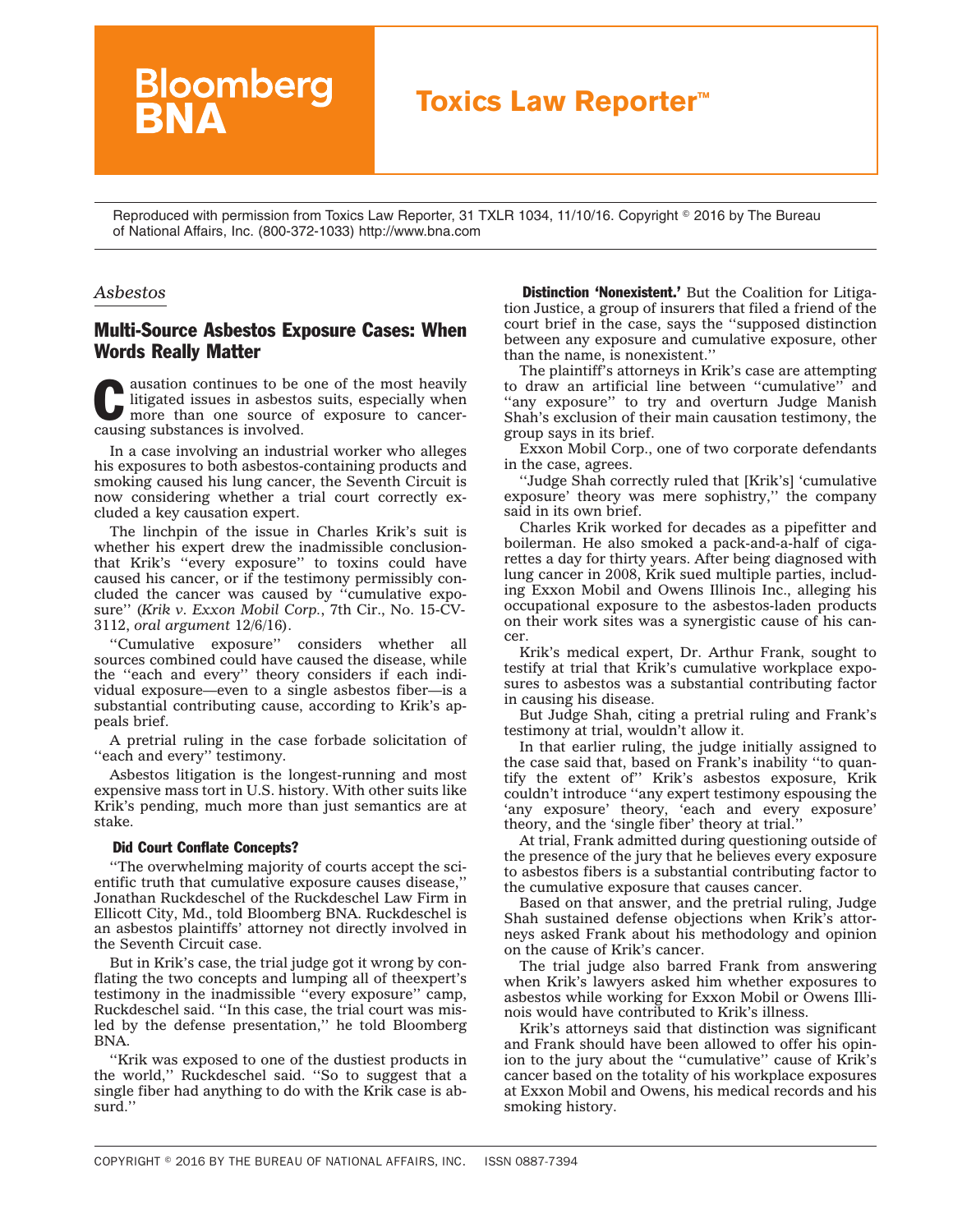## **Toxics Law Reporter™**

Reproduced with permission from Toxics Law Reporter, 31 TXLR 1034, 11/10/16. Copyright © 2016 by The Bureau of National Affairs, Inc. (800-372-1033) http://www.bna.com

## *Asbestos*

## Multi-Source Asbestos Exposure Cases: When Words Really Matter

**Bloomberg** 

continues to be one of the most heavily<br>
litigated issues in asbestos suits, especially when<br>
more than one source of exposure to cancer-<br>
cousing authorities is involved litigated issues in asbestos suits, especially when causing substances is involved.

In a case involving an industrial worker who alleges his exposures to both asbestos-containing products and smoking caused his lung cancer, the Seventh Circuit is now considering whether a trial court correctly excluded a key causation expert.

The linchpin of the issue in Charles Krik's suit is whether his expert drew the inadmissible conclusionthat Krik's ''every exposure'' to toxins could have caused his cancer, or if the testimony permissibly concluded the cancer was caused by ''cumulative exposure'' (*Krik v. Exxon Mobil Corp.*, 7th Cir., No. 15-CV-3112, *oral argument* 12/6/16).

''Cumulative exposure'' considers whether all sources combined could have caused the disease, while the ''each and every'' theory considers if each individual exposure—even to a single asbestos fiber—is a substantial contributing cause, according to Krik's appeals [brief.](http://src.bna.com/jUU)

A pretrial ruling in the case forbade solicitation of ''each and every'' testimony.

Asbestos litigation is the longest-running and most expensive mass tort in U.S. history. With other suits like Krik's pending, much more than just semantics are at stake.

## Did Court Conflate Concepts?

''The overwhelming majority of courts accept the scientific truth that cumulative exposure causes disease,'' Jonathan Ruckdeschel of the Ruckdeschel Law Firm in Ellicott City, Md., told Bloomberg BNA. Ruckdeschel is an asbestos plaintiffs' attorney not directly involved in the Seventh Circuit case.

But in Krik's case, the trial judge got it wrong by conflating the two concepts and lumping all of theexpert's testimony in the inadmissible ''every exposure'' camp, Ruckdeschel said. ''In this case, the trial court was misled by the defense presentation,'' he told Bloomberg BNA.

''Krik was exposed to one of the dustiest products in the world,'' Ruckdeschel said. ''So to suggest that a single fiber had anything to do with the Krik case is absurd.''

**Distinction 'Nonexistent.'** But the Coalition for Litigation Justice, a group of insurers that filed a friend of the court brief in the case, says the ''supposed distinction between any exposure and cumulative exposure, other than the name, is nonexistent.''

The plaintiff's attorneys in Krik's case are attempting to draw an artificial line between ''cumulative'' and "any exposure" to try and overturn Judge Manish Shah's exclusion of their main causation testimony, the group says in its [brief.](http://src.bna.com/jUP)

Exxon Mobil Corp., one of two corporate defendants in the case, agrees.

''Judge Shah correctly ruled that [Krik's] 'cumulative exposure' theory was mere sophistry,'' the company said in its own [brief.](http://src.bna.com/jUR)

Charles Krik worked for decades as a pipefitter and boilerman. He also smoked a pack-and-a-half of cigarettes a day for thirty years. After being diagnosed with lung cancer in 2008, Krik sued multiple parties, including Exxon Mobil and Owens Illinois Inc., alleging his occupational exposure to the asbestos-laden products on their work sites was a synergistic cause of his cancer.

Krik's medical expert, Dr. Arthur Frank, sought to testify at trial that Krik's cumulative workplace exposures to asbestos was a substantial contributing factor in causing his disease.

But Judge Shah, citing a pretrial ruling and Frank's testimony at trial, wouldn't allow it.

In that earlier ruling, the judge initially assigned to the case said that, based on Frank's inability ''to quantify the extent of'' Krik's asbestos exposure, Krik couldn't introduce ''any expert testimony espousing the 'any exposure' theory, 'each and every exposure' theory, and the 'single fiber' theory at trial.''

At trial, Frank admitted during questioning outside of the presence of the jury that he believes every exposure to asbestos fibers is a substantial contributing factor to the cumulative exposure that causes cancer.

Based on that answer, and the pretrial ruling, Judge Shah sustained defense objections when Krik's attorneys asked Frank about his methodology and opinion on the cause of Krik's cancer.

The trial judge also barred Frank from answering when Krik's lawyers asked him whether exposures to asbestos while working for Exxon Mobil or Owens Illinois would have contributed to Krik's illness.

Krik's attorneys said that distinction was significant and Frank should have been allowed to offer his opinion to the jury about the ''cumulative'' cause of Krik's cancer based on the totality of his workplace exposures at Exxon Mobil and Owens, his medical records and his smoking history.